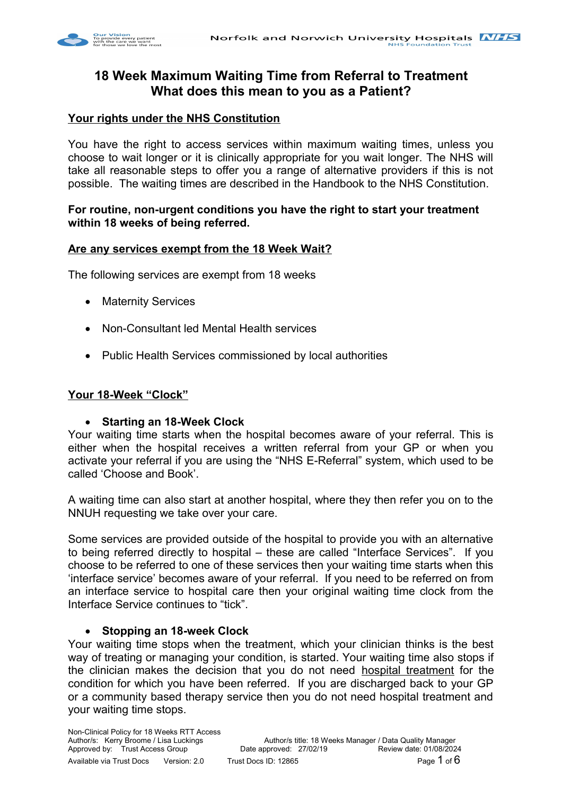

# **18 Week Maximum Waiting Time from Referral to Treatment What does this mean to you as a Patient?**

## **Your rights under the NHS Constitution**

You have the right to access services within maximum waiting times, unless you choose to wait longer or it is clinically appropriate for you wait longer. The NHS will take all reasonable steps to offer you a range of alternative providers if this is not possible. The waiting times are described in the Handbook to the NHS Constitution.

## **For routine, non-urgent conditions you have the right to start your treatment within 18 weeks of being referred.**

### **Are any services exempt from the 18 Week Wait?**

The following services are exempt from 18 weeks

- Maternity Services
- Non-Consultant led Mental Health services
- Public Health Services commissioned by local authorities

### **Your 18-Week "Clock"**

### **Starting an 18-Week Clock**

Your waiting time starts when the hospital becomes aware of your referral. This is either when the hospital receives a written referral from your GP or when you activate your referral if you are using the "NHS E-Referral" system, which used to be called 'Choose and Book'.

A waiting time can also start at another hospital, where they then refer you on to the NNUH requesting we take over your care.

Some services are provided outside of the hospital to provide you with an alternative to being referred directly to hospital – these are called "Interface Services". If you choose to be referred to one of these services then your waiting time starts when this 'interface service' becomes aware of your referral. If you need to be referred on from an interface service to hospital care then your original waiting time clock from the Interface Service continues to "tick".

#### **Stopping an 18-week Clock**

Your waiting time stops when the treatment, which your clinician thinks is the best way of treating or managing your condition, is started. Your waiting time also stops if the clinician makes the decision that you do not need hospital treatment for the condition for which you have been referred. If you are discharged back to your GP or a community based therapy service then you do not need hospital treatment and your waiting time stops.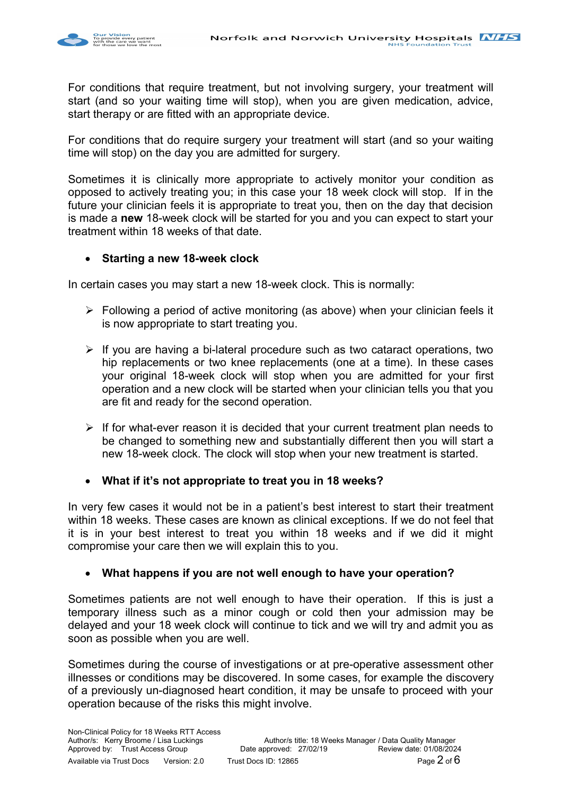

For conditions that require treatment, but not involving surgery, your treatment will start (and so your waiting time will stop), when you are given medication, advice, start therapy or are fitted with an appropriate device.

For conditions that do require surgery your treatment will start (and so your waiting time will stop) on the day you are admitted for surgery.

Sometimes it is clinically more appropriate to actively monitor your condition as opposed to actively treating you; in this case your 18 week clock will stop. If in the future your clinician feels it is appropriate to treat you, then on the day that decision is made a **new** 18-week clock will be started for you and you can expect to start your treatment within 18 weeks of that date.

### **Starting a new 18-week clock**

In certain cases you may start a new 18-week clock. This is normally:

- $\triangleright$  Following a period of active monitoring (as above) when your clinician feels it is now appropriate to start treating you.
- $\triangleright$  If you are having a bi-lateral procedure such as two cataract operations, two hip replacements or two knee replacements (one at a time). In these cases your original 18-week clock will stop when you are admitted for your first operation and a new clock will be started when your clinician tells you that you are fit and ready for the second operation.
- $\triangleright$  If for what-ever reason it is decided that your current treatment plan needs to be changed to something new and substantially different then you will start a new 18-week clock. The clock will stop when your new treatment is started.

**What if it's not appropriate to treat you in 18 weeks?**

In very few cases it would not be in a patient's best interest to start their treatment within 18 weeks. These cases are known as clinical exceptions. If we do not feel that it is in your best interest to treat you within 18 weeks and if we did it might compromise your care then we will explain this to you.

### **What happens if you are not well enough to have your operation?**

Sometimes patients are not well enough to have their operation. If this is just a temporary illness such as a minor cough or cold then your admission may be delayed and your 18 week clock will continue to tick and we will try and admit you as soon as possible when you are well.

Sometimes during the course of investigations or at pre-operative assessment other illnesses or conditions may be discovered. In some cases, for example the discovery of a previously un-diagnosed heart condition, it may be unsafe to proceed with your operation because of the risks this might involve.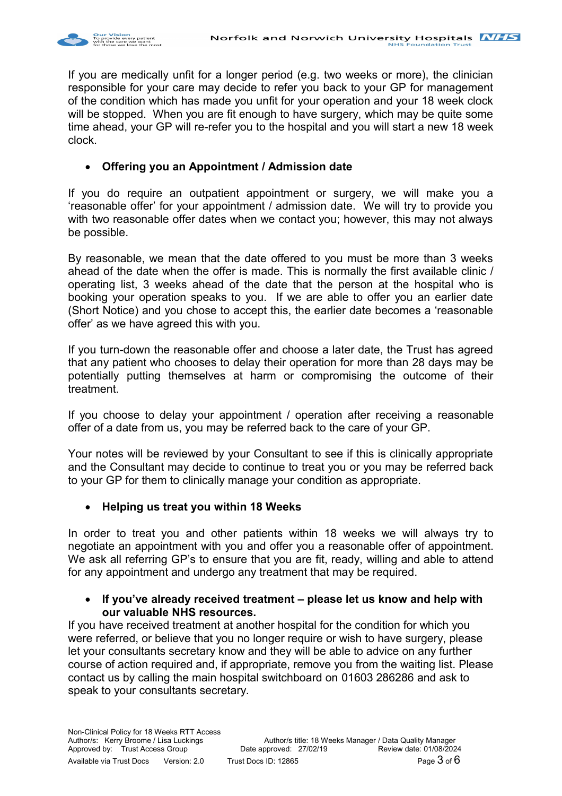

If you are medically unfit for a longer period (e.g. two weeks or more), the clinician responsible for your care may decide to refer you back to your GP for management of the condition which has made you unfit for your operation and your 18 week clock will be stopped. When you are fit enough to have surgery, which may be quite some time ahead, your GP will re-refer you to the hospital and you will start a new 18 week clock.

## **Offering you an Appointment / Admission date**

If you do require an outpatient appointment or surgery, we will make you a 'reasonable offer' for your appointment / admission date. We will try to provide you with two reasonable offer dates when we contact you; however, this may not always be possible.

By reasonable, we mean that the date offered to you must be more than 3 weeks ahead of the date when the offer is made. This is normally the first available clinic / operating list, 3 weeks ahead of the date that the person at the hospital who is booking your operation speaks to you. If we are able to offer you an earlier date (Short Notice) and you chose to accept this, the earlier date becomes a 'reasonable offer' as we have agreed this with you.

If you turn-down the reasonable offer and choose a later date, the Trust has agreed that any patient who chooses to delay their operation for more than 28 days may be potentially putting themselves at harm or compromising the outcome of their treatment.

If you choose to delay your appointment / operation after receiving a reasonable offer of a date from us, you may be referred back to the care of your GP.

Your notes will be reviewed by your Consultant to see if this is clinically appropriate and the Consultant may decide to continue to treat you or you may be referred back to your GP for them to clinically manage your condition as appropriate.

### **Helping us treat you within 18 Weeks**

In order to treat you and other patients within 18 weeks we will always try to negotiate an appointment with you and offer you a reasonable offer of appointment. We ask all referring GP's to ensure that you are fit, ready, willing and able to attend for any appointment and undergo any treatment that may be required.

### **If you've already received treatment – please let us know and help with our valuable NHS resources.**

If you have received treatment at another hospital for the condition for which you were referred, or believe that you no longer require or wish to have surgery, please let your consultants secretary know and they will be able to advice on any further course of action required and, if appropriate, remove you from the waiting list. Please contact us by calling the main hospital switchboard on 01603 286286 and ask to speak to your consultants secretary.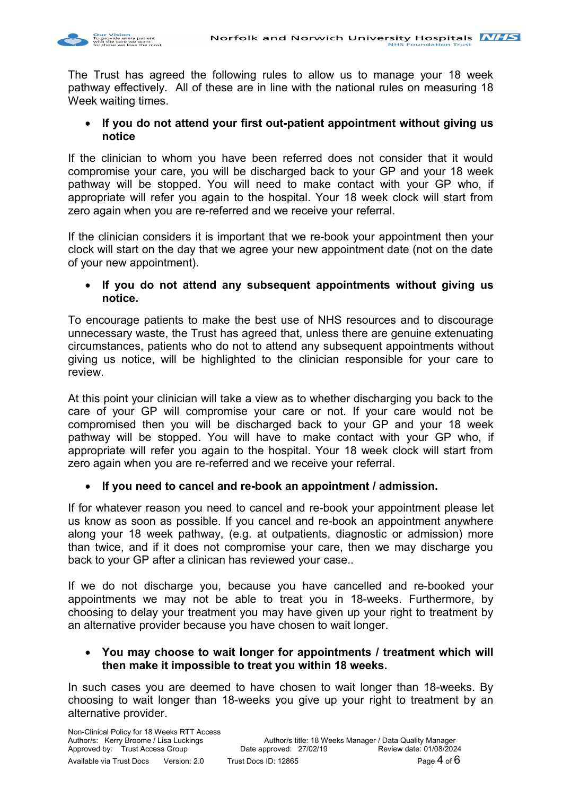

The Trust has agreed the following rules to allow us to manage your 18 week pathway effectively. All of these are in line with the national rules on measuring 18 Week waiting times.

 **If you do not attend your first out-patient appointment without giving us notice**

If the clinician to whom you have been referred does not consider that it would compromise your care, you will be discharged back to your GP and your 18 week pathway will be stopped. You will need to make contact with your GP who, if appropriate will refer you again to the hospital. Your 18 week clock will start from zero again when you are re-referred and we receive your referral.

If the clinician considers it is important that we re-book your appointment then your clock will start on the day that we agree your new appointment date (not on the date of your new appointment).

### **If you do not attend any subsequent appointments without giving us notice.**

To encourage patients to make the best use of NHS resources and to discourage unnecessary waste, the Trust has agreed that, unless there are genuine extenuating circumstances, patients who do not to attend any subsequent appointments without giving us notice, will be highlighted to the clinician responsible for your care to review.

At this point your clinician will take a view as to whether discharging you back to the care of your GP will compromise your care or not. If your care would not be compromised then you will be discharged back to your GP and your 18 week pathway will be stopped. You will have to make contact with your GP who, if appropriate will refer you again to the hospital. Your 18 week clock will start from zero again when you are re-referred and we receive your referral.

### **If you need to cancel and re-book an appointment / admission.**

If for whatever reason you need to cancel and re-book your appointment please let us know as soon as possible. If you cancel and re-book an appointment anywhere along your 18 week pathway, (e.g. at outpatients, diagnostic or admission) more than twice, and if it does not compromise your care, then we may discharge you back to your GP after a clinican has reviewed your case..

If we do not discharge you, because you have cancelled and re-booked your appointments we may not be able to treat you in 18-weeks. Furthermore, by choosing to delay your treatment you may have given up your right to treatment by an alternative provider because you have chosen to wait longer.

### **You may choose to wait longer for appointments / treatment which will then make it impossible to treat you within 18 weeks.**

In such cases you are deemed to have chosen to wait longer than 18-weeks. By choosing to wait longer than 18-weeks you give up your right to treatment by an alternative provider.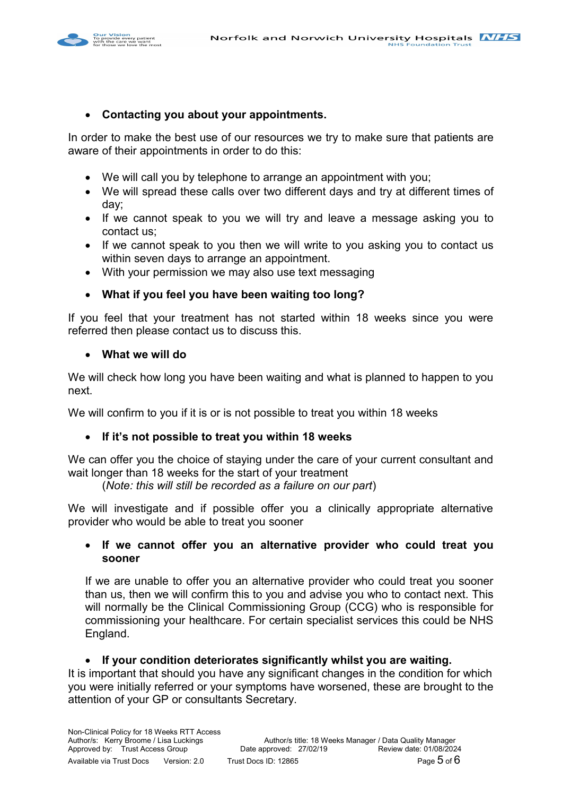

#### **Contacting you about your appointments.**

In order to make the best use of our resources we try to make sure that patients are aware of their appointments in order to do this:

- We will call you by telephone to arrange an appointment with you;
- We will spread these calls over two different days and try at different times of day;
- If we cannot speak to you we will try and leave a message asking you to contact us;
- If we cannot speak to you then we will write to you asking you to contact us within seven days to arrange an appointment.
- With your permission we may also use text messaging

### **What if you feel you have been waiting too long?**

If you feel that your treatment has not started within 18 weeks since you were referred then please contact us to discuss this.

#### **What we will do**

We will check how long you have been waiting and what is planned to happen to you next.

We will confirm to you if it is or is not possible to treat you within 18 weeks

### **If it's not possible to treat you within 18 weeks**

We can offer you the choice of staying under the care of your current consultant and wait longer than 18 weeks for the start of your treatment

(*Note: this will still be recorded as a failure on our part*)

We will investigate and if possible offer you a clinically appropriate alternative provider who would be able to treat you sooner

#### **If we cannot offer you an alternative provider who could treat you sooner**

If we are unable to offer you an alternative provider who could treat you sooner than us, then we will confirm this to you and advise you who to contact next. This will normally be the Clinical Commissioning Group (CCG) who is responsible for commissioning your healthcare. For certain specialist services this could be NHS England.

#### **If your condition deteriorates significantly whilst you are waiting.**

It is important that should you have any significant changes in the condition for which you were initially referred or your symptoms have worsened, these are brought to the attention of your GP or consultants Secretary.